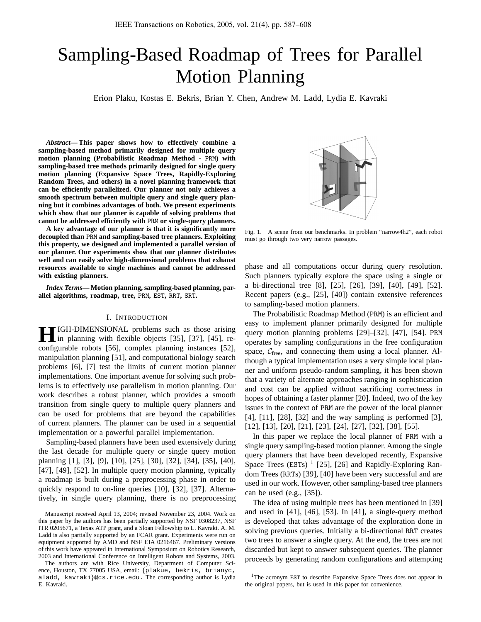# Sampling-Based Roadmap of Trees for Parallel Motion Planning

Erion Plaku, Kostas E. Bekris, Brian Y. Chen, Andrew M. Ladd, Lydia E. Kavraki

*Abstract***— This paper shows how to effectively combine a sampling-based method primarily designed for multiple query motion planning (Probabilistic Roadmap Method -** PRM**) with sampling-based tree methods primarily designed for single query motion planning (Expansive Space Trees, Rapidly-Exploring Random Trees, and others) in a novel planning framework that can be efficiently parallelized. Our planner not only achieves a smooth spectrum between multiple query and single query planning but it combines advantages of both. We present experiments which show that our planner is capable of solving problems that cannot be addressed efficiently with** PRM **or single-query planners.**

**A key advantage of our planner is that it is significantly more decoupled than** PRM **and sampling-based tree planners. Exploiting this property, we designed and implemented a parallel version of our planner. Our experiments show that our planner distributes well and can easily solve high-dimensional problems that exhaust resources available to single machines and cannot be addressed with existing planners.**

*Index Terms***— Motion planning, sampling-based planning, parallel algorithms, roadmap, tree,** PRM**,** EST**,** RRT**,** SRT**.**

#### I. INTRODUCTION

**H** IGH-DIMENSIONAL problems such as those arising<br>in planning with flexible objects [35], [37], [45], rein planning with flexible objects [35], [37], [45], reconfigurable robots [56], complex planning instances [52], manipulation planning [51], and computational biology search problems [6], [7] test the limits of current motion planner implementations. One important avenue for solving such problems is to effectively use parallelism in motion planning. Our work describes a robust planner, which provides a smooth transition from single query to multiple query planners and can be used for problems that are beyond the capabilities of current planners. The planner can be used in a sequential implementation or a powerful parallel implementation.

Sampling-based planners have been used extensively during the last decade for multiple query or single query motion planning [1], [3], [9], [10], [25], [30], [32], [34], [35], [40], [47], [49], [52]. In multiple query motion planning, typically a roadmap is built during a preprocessing phase in order to quickly respond to on-line queries [10], [32], [37]. Alternatively, in single query planning, there is no preprocessing

The authors are with Rice University, Department of Computer Science, Houston, TX 77005 USA, email: {plakue, bekris, brianyc, aladd, kavraki}@cs.rice.edu. The corresponding author is Lydia E. Kavraki.



Fig. 1. A scene from our benchmarks. In problem "narrow4h2", each robot must go through two very narrow passages.

phase and all computations occur during query resolution. Such planners typically explore the space using a single or a bi-directional tree [8], [25], [26], [39], [40], [49], [52]. Recent papers (e.g., [25], [40]) contain extensive references to sampling-based motion planners.

The Probabilistic Roadmap Method (PRM) is an efficient and easy to implement planner primarily designed for multiple query motion planning problems [29]–[32], [47], [54]. PRM operates by sampling configurations in the free configuration space,  $C_{\text{free}}$ , and connecting them using a local planner. Although a typical implementation uses a very simple local planner and uniform pseudo-random sampling, it has been shown that a variety of alternate approaches ranging in sophistication and cost can be applied without sacrificing correctness in hopes of obtaining a faster planner [20]. Indeed, two of the key issues in the context of PRM are the power of the local planner [4], [11], [28], [32] and the way sampling is performed [3], [12], [13], [20], [21], [23], [24], [27], [32], [38], [55].

In this paper we replace the local planner of PRM with a single query sampling-based motion planner. Among the single query planners that have been developed recently, Expansive Space Trees (ESTs) <sup>1</sup> [25], [26] and Rapidly-Exploring Random Trees (RRTs) [39], [40] have been very successful and are used in our work. However, other sampling-based tree planners can be used (e.g., [35]).

The idea of using multiple trees has been mentioned in [39] and used in [41], [46], [53]. In [41], a single-query method is developed that takes advantage of the exploration done in solving previous queries. Initially a bi-directional RRT creates two trees to answer a single query. At the end, the trees are not discarded but kept to answer subsequent queries. The planner proceeds by generating random configurations and attempting

Manuscript received April 13, 2004; revised November 23, 2004. Work on this paper by the authors has been partially supported by NSF 0308237, NSF ITR 0205671, a Texas ATP grant, and a Sloan Fellowship to L. Kavraki. A. M. Ladd is also partially supported by an FCAR grant. Experiments were run on equipment supported by AMD and NSF EIA 0216467. Preliminary versions of this work have appeared in International Symposium on Robotics Research, 2003 and International Conference on Intelligent Robots and Systems, 2003.

<sup>&</sup>lt;sup>1</sup>The acronym EST to describe Expansive Space Trees does not appear in the original papers, but is used in this paper for convenience.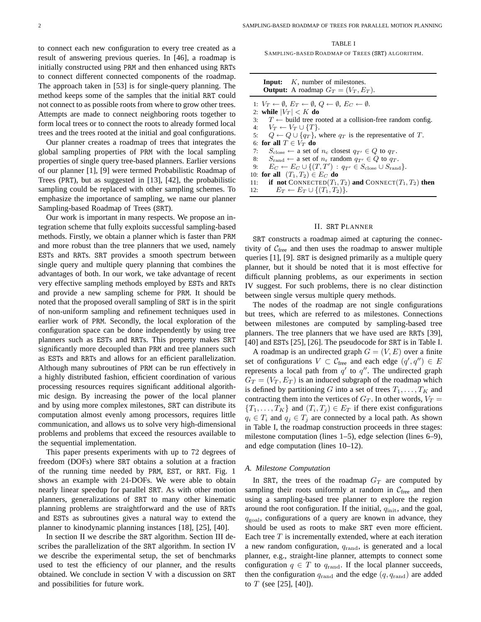to connect each new configuration to every tree created as a result of answering previous queries. In [46], a roadmap is initially constructed using PRM and then enhanced using RRTs to connect different connected components of the roadmap. The approach taken in [53] is for single-query planning. The method keeps some of the samples that the initial RRT could not connect to as possible roots from where to grow other trees. Attempts are made to connect neighboring roots together to form local trees or to connect the roots to already formed local trees and the trees rooted at the initial and goal configurations.

Our planner creates a roadmap of trees that integrates the global sampling properties of PRM with the local sampling properties of single query tree-based planners. Earlier versions of our planner [1], [9] were termed Probabilistic Roadmap of Trees (PRT), but as suggested in [13], [42], the probabilistic sampling could be replaced with other sampling schemes. To emphasize the importance of sampling, we name our planner Sampling-based Roadmap of Trees (SRT).

Our work is important in many respects. We propose an integration scheme that fully exploits successful sampling-based methods. Firstly, we obtain a planner which is faster than PRM and more robust than the tree planners that we used, namely ESTs and RRTs. SRT provides a smooth spectrum between single query and multiple query planning that combines the advantages of both. In our work, we take advantage of recent very effective sampling methods employed by ESTs and RRTs and provide a new sampling scheme for PRM. It should be noted that the proposed overall sampling of SRT is in the spirit of non-uniform sampling and refinement techniques used in earlier work of PRM. Secondly, the local exploration of the configuration space can be done independently by using tree planners such as ESTs and RRTs. This property makes SRT significantly more decoupled than PRM and tree planners such as ESTs and RRTs and allows for an efficient parallelization. Although many subroutines of PRM can be run effectively in a highly distributed fashion, efficient coordination of various processing resources requires significant additional algorithmic design. By increasing the power of the local planner and by using more complex milestones, SRT can distribute its computation almost evenly among processors, requires little communication, and allows us to solve very high-dimensional problems and problems that exceed the resources available to the sequential implementation.

This paper presents experiments with up to 72 degrees of freedom (DOFs) where SRT obtains a solution at a fraction of the running time needed by PRM, EST, or RRT. Fig. 1 shows an example with 24-DOFs. We were able to obtain nearly linear speedup for parallel SRT. As with other motion planners, generalizations of SRT to many other kinematic planning problems are straightforward and the use of RRTs and ESTs as subroutines gives a natural way to extend the planner to kinodynamic planning instances [18], [25], [40].

In section II we describe the SRT algorithm. Section III describes the parallelization of the SRT algorithm. In section IV we describe the experimental setup, the set of benchmarks used to test the efficiency of our planner, and the results obtained. We conclude in section V with a discussion on SRT and possibilities for future work.

TABLE I SAMPLING-BASED ROADMAP OF TREES (SRT) ALGORITHM.

|     | <b>Input:</b> K, number of milestones.<br><b>Output:</b> A roadmap $G_T = (V_T, E_T)$ .                              |
|-----|----------------------------------------------------------------------------------------------------------------------|
|     | 1: $V_T \leftarrow \emptyset$ , $E_T \leftarrow \emptyset$ , $Q \leftarrow \emptyset$ , $E_C \leftarrow \emptyset$ . |
|     | 2: while $ V_T  < K$ do                                                                                              |
|     | 3: $T \leftarrow$ build tree rooted at a collision-free random config.                                               |
|     | 4: $V_T \leftarrow V_T \cup \{T\}.$                                                                                  |
|     | 5: $Q \leftarrow Q \cup \{q_T\}$ , where $q_T$ is the representative of T.                                           |
|     | 6: for all $T \in V_T$ do                                                                                            |
| 7:  | $S_{\text{close}} \leftarrow$ a set of $n_c$ closest $q_{T'} \in Q$ to $q_T$ .                                       |
| 8:  | $S_{\text{rand}} \leftarrow$ a set of $n_r$ random $q_{T'} \in Q$ to $q_T$ .                                         |
| 9:  | $E_C \leftarrow E_C \cup \{(T, T'): q_{T'} \in S_{\text{close}} \cup S_{\text{rand}}\}.$                             |
|     | 10: for all $(T_1, T_2) \in E_C$ do                                                                                  |
| 11: | if not CONNECTED $(T_1, T_2)$ and CONNECT $(T_1, T_2)$ then                                                          |
|     | $E_T \leftarrow E_T \cup \{(T_1, T_2)\}.$<br>12:                                                                     |

# II. SRT PLANNER

SRT constructs a roadmap aimed at capturing the connectivity of  $C_{\text{free}}$  and then uses the roadmap to answer multiple queries [1], [9]. SRT is designed primarily as a multiple query planner, but it should be noted that it is most effective for difficult planning problems, as our experiments in section IV suggest. For such problems, there is no clear distinction between single versus multiple query methods.

The nodes of the roadmap are not single configurations but trees, which are referred to as milestones. Connections between milestones are computed by sampling-based tree planners. The tree planners that we have used are RRTs [39], [40] and ESTs [25], [26]. The pseudocode for SRT is in Table I.

A roadmap is an undirected graph  $G = (V, E)$  over a finite set of configurations  $V \subset \mathcal{C}_{\text{free}}$  and each edge  $(q', q'') \in E$ represents a local path from  $q'$  to  $q''$ . The undirected graph  $G_T = (V_T, E_T)$  is an induced subgraph of the roadmap which is defined by partitioning G into a set of trees  $T_1, \ldots, T_K$  and contracting them into the vertices of  $G_T$ . In other words,  $V_T =$  ${T_1, \ldots, T_K}$  and  $(T_i, T_j) \in E_T$  if there exist configurations  $q_i \in T_i$  and  $q_j \in T_j$  are connected by a local path. As shown in Table I, the roadmap construction proceeds in three stages: milestone computation (lines 1–5), edge selection (lines 6–9), and edge computation (lines 10–12).

#### *A. Milestone Computation*

In SRT, the trees of the roadmap  $G_T$  are computed by sampling their roots uniformly at random in  $C_{\text{free}}$  and then using a sampling-based tree planner to explore the region around the root configuration. If the initial,  $q_{\text{init}}$ , and the goal,  $q_{\text{goal}}$ , configurations of a query are known in advance, they should be used as roots to make SRT even more efficient. Each tree  $T$  is incrementally extended, where at each iteration a new random configuration,  $q_{\text{rand}}$ , is generated and a local planner, e.g., straight-line planner, attempts to connect some configuration  $q \in T$  to  $q_{\text{rand}}$ . If the local planner succeeds, then the configuration  $q_{\text{rand}}$  and the edge  $(q, q_{\text{rand}})$  are added to  $T$  (see [25], [40]).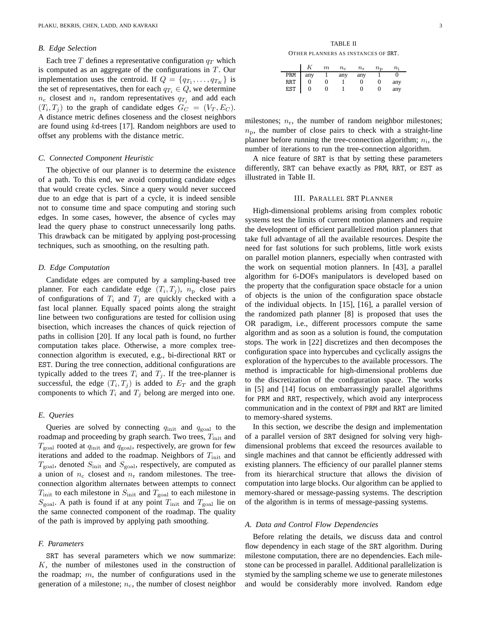#### *B. Edge Selection*

Each tree  $T$  defines a representative configuration  $q_T$  which is computed as an aggregate of the configurations in  $T$ . Our implementation uses the centroid. If  $Q = \{q_{T_1}, \ldots, q_{T_K}\}\)$  is the set of representatives, then for each  $q_{T_i} \in Q$ , we determine  $n_c$  closest and  $n_r$  random representatives  $q_{T_j}$  and add each  $(T_i, T_j)$  to the graph of candidate edges  $G_C = (V_T, E_C)$ . A distance metric defines closeness and the closest neighbors are found using kd-trees [17]. Random neighbors are used to offset any problems with the distance metric.

#### *C. Connected Component Heuristic*

The objective of our planner is to determine the existence of a path. To this end, we avoid computing candidate edges that would create cycles. Since a query would never succeed due to an edge that is part of a cycle, it is indeed sensible not to consume time and space computing and storing such edges. In some cases, however, the absence of cycles may lead the query phase to construct unnecessarily long paths. This drawback can be mitigated by applying post-processing techniques, such as smoothing, on the resulting path.

## *D. Edge Computation*

Candidate edges are computed by a sampling-based tree planner. For each candidate edge  $(T_i, T_j)$ ,  $n_p$  close pairs of configurations of  $T_i$  and  $T_j$  are quickly checked with a fast local planner. Equally spaced points along the straight line between two configurations are tested for collision using bisection, which increases the chances of quick rejection of paths in collision [20]. If any local path is found, no further computation takes place. Otherwise, a more complex treeconnection algorithm is executed, e.g., bi-directional RRT or EST. During the tree connection, additional configurations are typically added to the trees  $T_i$  and  $T_j$ . If the tree-planner is successful, the edge  $(T_i, T_j)$  is added to  $E_T$  and the graph components to which  $T_i$  and  $T_j$  belong are merged into one.

### *E. Queries*

Queries are solved by connecting  $q_{\text{init}}$  and  $q_{\text{goal}}$  to the roadmap and proceeding by graph search. Two trees,  $T_{\text{init}}$  and  $T_{\text{goal}}$  rooted at  $q_{\text{init}}$  and  $q_{\text{goal}}$ , respectively, are grown for few iterations and added to the roadmap. Neighbors of  $T_{\text{init}}$  and  $T_{\text{goal}}$ , denoted  $S_{\text{init}}$  and  $S_{\text{goal}}$ , respectively, are computed as a union of  $n_c$  closest and  $n_r$  random milestones. The treeconnection algorithm alternates between attempts to connect  $T_{\text{init}}$  to each milestone in  $S_{\text{init}}$  and  $T_{\text{goal}}$  to each milestone in  $S_{\text{goal}}$ . A path is found if at any point  $T_{\text{init}}$  and  $T_{\text{goal}}$  lie on the same connected component of the roadmap. The quality of the path is improved by applying path smoothing.

## *F. Parameters*

SRT has several parameters which we now summarize: K, the number of milestones used in the construction of the roadmap;  $m$ , the number of configurations used in the generation of a milestone;  $n_c$ , the number of closest neighbor

TABLE II OTHER PLANNERS AS INSTANCES OF SRT.

|            |     | $\boldsymbol{m}$ | $n_{c}$ | $n_{r}$ | $n_{\rm p}$ | $n_{\rm i}$ |
|------------|-----|------------------|---------|---------|-------------|-------------|
| PRM        | any |                  | any     | any     |             |             |
| <b>RRT</b> |     |                  |         |         |             | any         |
| EST        |     |                  |         |         |             | any         |

milestones;  $n_r$ , the number of random neighbor milestones;  $n_{\rm p}$ , the number of close pairs to check with a straight-line planner before running the tree-connection algorithm;  $n_i$ , the number of iterations to run the tree-connection algorithm.

A nice feature of SRT is that by setting these parameters differently, SRT can behave exactly as PRM, RRT, or EST as illustrated in Table II.

#### III. PARALLEL SRT PLANNER

High-dimensional problems arising from complex robotic systems test the limits of current motion planners and require the development of efficient parallelized motion planners that take full advantage of all the available resources. Despite the need for fast solutions for such problems, little work exists on parallel motion planners, especially when contrasted with the work on sequential motion planners. In [43], a parallel algorithm for 6-DOFs manipulators is developed based on the property that the configuration space obstacle for a union of objects is the union of the configuration space obstacle of the individual objects. In [15], [16], a parallel version of the randomized path planner [8] is proposed that uses the OR paradigm, i.e., different processors compute the same algorithm and as soon as a solution is found, the computation stops. The work in [22] discretizes and then decomposes the configuration space into hypercubes and cyclically assigns the exploration of the hypercubes to the available processors. The method is impracticable for high-dimensional problems due to the discretization of the configuration space. The works in [5] and [14] focus on embarrassingly parallel algorithms for PRM and RRT, respectively, which avoid any interprocess communication and in the context of PRM and RRT are limited to memory-shared systems.

In this section, we describe the design and implementation of a parallel version of SRT designed for solving very highdimensional problems that exceed the resources available to single machines and that cannot be efficiently addressed with existing planners. The efficiency of our parallel planner stems from its hierarchical structure that allows the division of computation into large blocks. Our algorithm can be applied to memory-shared or message-passing systems. The description of the algorithm is in terms of message-passing systems.

## *A. Data and Control Flow Dependencies*

Before relating the details, we discuss data and control flow dependency in each stage of the SRT algorithm. During milestone computation, there are no dependencies. Each milestone can be processed in parallel. Additional parallelization is stymied by the sampling scheme we use to generate milestones and would be considerably more involved. Random edge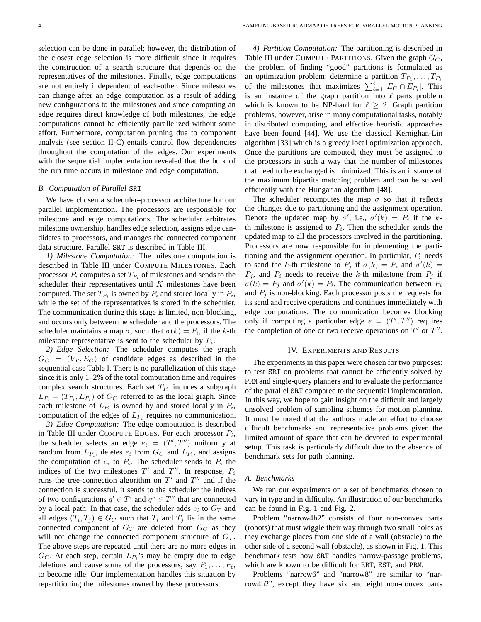selection can be done in parallel; however, the distribution of the closest edge selection is more difficult since it requires the construction of a search structure that depends on the representatives of the milestones. Finally, edge computations are not entirely independent of each-other. Since milestones can change after an edge computation as a result of adding new configurations to the milestones and since computing an edge requires direct knowledge of both milestones, the edge computations cannot be efficiently parallelized without some effort. Furthermore, computation pruning due to component analysis (see section II-C) entails control flow dependencies throughout the computation of the edges. Our experiments with the sequential implementation revealed that the bulk of the run time occurs in milestone and edge computation.

#### *B. Computation of Parallel* SRT

We have chosen a scheduler–processor architecture for our parallel implementation. The processors are responsible for milestone and edge computations. The scheduler arbitrates milestone ownership, handles edge selection, assigns edge candidates to processors, and manages the connected component data structure. Parallel SRT is described in Table III.

*1) Milestone Computation:* The milestone computation is described in Table III under COMPUTE MILESTONES. Each processor  $P_i$  computes a set  $T_{P_i}$  of milestones and sends to the scheduler their representatives until  $K$  milestones have been computed. The set  $T_{P_i}$  is owned by  $P_i$  and stored locally in  $P_i$ , while the set of the representatives is stored in the scheduler. The communication during this stage is limited, non-blocking, and occurs only between the scheduler and the processors. The scheduler maintains a map  $\sigma$ , such that  $\sigma(k) = P_i$ , if the k-th milestone representative is sent to the scheduler by  $P_i$ .

*2) Edge Selection:* The scheduler computes the graph  $G_C = (V_T, E_C)$  of candidate edges as described in the sequential case Table I. There is no parallelization of this stage since it is only 1–2% of the total computation time and requires complex search structures. Each set  $T_{P_i}$  induces a subgraph  $L_{P_i} = (T_{P_i}, E_{P_i})$  of  $G_C$  referred to as the local graph. Since each milestone of  $L_{P_i}$  is owned by and stored locally in  $P_i$ , computation of the edges of  $L_{P_i}$  requires no communication.

*3) Edge Computation:* The edge computation is described in Table III under COMPUTE EDGES. For each processor  $P_i$ , the scheduler selects an edge  $e_i = (T', T'')$  uniformly at random from  $L_{P_i}$ , deletes  $e_i$  from  $G_C$  and  $L_{P_i}$ , and assigns the computation of  $e_i$  to  $P_i$ . The scheduler sends to  $P_i$  the indices of the two milestones  $T'$  and  $T''$ . In response,  $P_i$ runs the tree-connection algorithm on  $T'$  and  $T''$  and if the connection is successful, it sends to the scheduler the indices of two configurations  $q' \in T'$  and  $q'' \in T''$  that are connected by a local path. In that case, the scheduler adds  $e_i$  to  $G_T$  and all edges  $(T_i, T_j) \in G_C$  such that  $T_i$  and  $T_j$  lie in the same connected component of  $G_T$  are deleted from  $G_C$  as they will not change the connected component structure of  $G_T$ . The above steps are repeated until there are no more edges in  $G_C$ . At each step, certain  $L_{P_i}$ 's may be empty due to edge deletions and cause some of the processors, say  $P_1, \ldots, P_\ell$ , to become idle. Our implementation handles this situation by repartitioning the milestones owned by these processors.

*4) Partition Computation:* The partitioning is described in Table III under COMPUTE PARTITIONS. Given the graph  $G_C$ , the problem of finding "good" partitions is formulated as an optimization problem: determine a partition  $T_{P_1}, \ldots, T_{P_\ell}$ of the milestones that maximizes  $\sum_{i=1}^{\ell} |E_C \cap E_{P_i}|$ . This is an instance of the graph partition into  $\ell$  parts problem which is known to be NP-hard for  $\ell > 2$ . Graph partition problems, however, arise in many computational tasks, notably in distributed computing, and effective heuristic approaches have been found [44]. We use the classical Kernighan-Lin algorithm [33] which is a greedy local optimization approach. Once the partitions are computed, they must be assigned to the processors in such a way that the number of milestones that need to be exchanged is minimized. This is an instance of the maximum bipartite matching problem and can be solved efficiently with the Hungarian algorithm [48].

The scheduler recomputes the map  $\sigma$  so that it reflects the changes due to partitioning and the assignment operation. Denote the updated map by  $\sigma'$ , i.e.,  $\sigma'(k) = P_i$  if the kth milestone is assigned to  $P_i$ . Then the scheduler sends the updated map to all the processors involved in the partitioning. Processors are now responsible for implementing the partitioning and the assignment operation. In particular,  $P_i$  needs to send the k-th milestone to  $P_j$  if  $\sigma(k) = P_i$  and  $\sigma'(k) =$  $P_j$ , and  $P_i$  needs to receive the k-th milestone from  $P_j$  if  $\sigma(k) = P_j$  and  $\sigma'(k) = P_i$ . The communication between  $P_i$ and  $P_j$  is non-blocking. Each processor posts the requests for its send and receive operations and continues immediately with edge computations. The communication becomes blocking only if computing a particular edge  $e = (T', T'')$  requires the completion of one or two receive operations on  $T'$  or  $T''$ .

## IV. EXPERIMENTS AND RESULTS

The experiments in this paper were chosen for two purposes: to test SRT on problems that cannot be efficiently solved by PRM and single-query planners and to evaluate the performance of the parallel SRT compared to the sequential implementation. In this way, we hope to gain insight on the difficult and largely unsolved problem of sampling schemes for motion planning. It must be noted that the authors made an effort to choose difficult benchmarks and representative problems given the limited amount of space that can be devoted to experimental setup. This task is particularly difficult due to the absence of benchmark sets for path planning.

#### *A. Benchmarks*

We ran our experiments on a set of benchmarks chosen to vary in type and in difficulty. An illustration of our benchmarks can be found in Fig. 1 and Fig. 2.

Problem "narrow4h2" consists of four non-convex parts (robots) that must wiggle their way through two small holes as they exchange places from one side of a wall (obstacle) to the other side of a second wall (obstacle), as shown in Fig. 1. This benchmark tests how SRT handles narrow-passage problems, which are known to be difficult for RRT, EST, and PRM.

Problems "narrow6" and "narrow8" are similar to "narrow4h2", except they have six and eight non-convex parts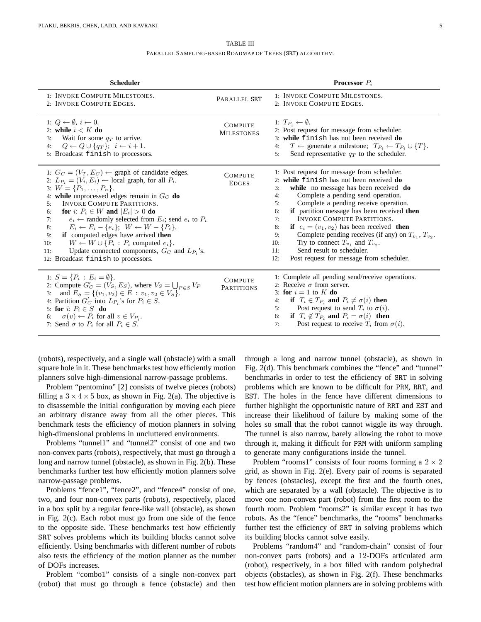TABLE III PARALLEL SAMPLING-BASED ROADMAP OF TREES (SRT) ALGORITHM.

| <b>Scheduler</b>                                                                                                                                                                                                                                                                                                                                                                                                                                                                                                                                                                                                                                                                                       |                                     | <b>Processor</b> $P_i$                                                                                                                                                                                                                                                                                                                                                                                                                                                                                                                                                                                                                        |
|--------------------------------------------------------------------------------------------------------------------------------------------------------------------------------------------------------------------------------------------------------------------------------------------------------------------------------------------------------------------------------------------------------------------------------------------------------------------------------------------------------------------------------------------------------------------------------------------------------------------------------------------------------------------------------------------------------|-------------------------------------|-----------------------------------------------------------------------------------------------------------------------------------------------------------------------------------------------------------------------------------------------------------------------------------------------------------------------------------------------------------------------------------------------------------------------------------------------------------------------------------------------------------------------------------------------------------------------------------------------------------------------------------------------|
| 1: INVOKE COMPUTE MILESTONES.<br>2: INVOKE COMPUTE EDGES.                                                                                                                                                                                                                                                                                                                                                                                                                                                                                                                                                                                                                                              | PARALLEL SRT                        | 1: INVOKE COMPUTE MILESTONES.<br>2: INVOKE COMPUTE EDGES.                                                                                                                                                                                                                                                                                                                                                                                                                                                                                                                                                                                     |
| 1: $Q \leftarrow \emptyset$ , $i \leftarrow 0$ .<br>2: while $i < K$ do<br>Wait for some $q_T$ to arrive.<br>3:<br>$Q \leftarrow Q \cup \{q_T\}; i \leftarrow i+1.$<br>4:<br>5: Broadcast finish to processors.                                                                                                                                                                                                                                                                                                                                                                                                                                                                                        | <b>COMPUTE</b><br><b>MILESTONES</b> | 1: $T_{P_i} \leftarrow \emptyset$ .<br>2: Post request for message from scheduler.<br>3: while finish has not been received do<br>$T \leftarrow$ generate a milestone; $T_{P_i} \leftarrow T_{P_i} \cup \{T\}.$<br>4:<br>Send representative $q_T$ to the scheduler.<br>5:                                                                                                                                                                                                                                                                                                                                                                    |
| 1: $G_C = (V_T, E_C) \leftarrow$ graph of candidate edges.<br>2: $L_{P_i} = (V_i, E_i) \leftarrow$ local graph, for all $P_i$ .<br>3: $W = \{P_1, \ldots, P_n\}.$<br>4: while unprocessed edges remain in $G_C$ do<br><b>INVOKE COMPUTE PARTITIONS.</b><br>5:<br>for i: $P_i \in W$ and $ E_i  > 0$ do<br>6:<br>$e_i \leftarrow$ randomly selected from $E_i$ ; send $e_i$ to $P_i$<br>7:<br>$E_i \leftarrow E_i - \{e_i\}; \ \ W \leftarrow W - \{P_i\}.$<br>8:<br><b>if</b> computed edges have arrived <b>then</b><br>9:<br>$W \leftarrow W \cup \{P_i : P_i \text{ computed } e_i\}.$<br>10:<br>Update connected components, $G_C$ and $L_{P_i}$ 's.<br>11:<br>12: Broadcast finish to processors. | <b>COMPUTE</b><br><b>EDGES</b>      | 1: Post request for message from scheduler.<br>2: while $f\text{inish}$ has not been received $d\theta$<br>while no message has been received <b>do</b><br>3:<br>Complete a pending send operation.<br>4:<br>Complete a pending receive operation.<br>5:<br><b>if</b> partition message has been received <b>then</b><br>6:<br><b>INVOKE COMPUTE PARTITIONS.</b><br>7:<br>if $e_i = (v_1, v_2)$ has been received then<br>8:<br>9:<br>Complete pending receives (if any) on $T_{v_1}$ , $T_{v_2}$ .<br>Try to connect $T_{v_1}$ and $T_{v_2}$ .<br>10:<br>Send result to scheduler.<br>11:<br>12:<br>Post request for message from scheduler. |
| 1: $S = \{P_i : E_i = \emptyset\}.$<br>2: Compute $G_C' = (V_S, E_S)$ , where $V_S = \bigcup_{P \in S} V_P$<br>and $E_S = \{(v_1, v_2) \in E : v_1, v_2 \in V_S\}.$<br>3:<br>4: Partition $G'_C$ into $L_{P_i}$ 's for $P_i \in S$ .<br>5: for i: $P_i \in S$ do<br>$\sigma(v) \leftarrow P_i$ for all $v \in V_{P_i}$ .<br>7: Send $\sigma$ to $P_i$ for all $P_i \in S$ .                                                                                                                                                                                                                                                                                                                            | <b>COMPUTE</b><br><b>PARTITIONS</b> | 1: Complete all pending send/receive operations.<br>2: Receive $\sigma$ from server.<br>3: for $i = 1$ to K do<br>if $T_i \in T_{P_i}$ and $P_i \neq \sigma(i)$ then<br>4:<br>Post request to send $T_i$ to $\sigma(i)$ .<br>5:<br>if $T_i \notin T_{P_i}$ and $P_i = \sigma(i)$ then<br>6:<br>7:<br>Post request to receive $T_i$ from $\sigma(i)$ .                                                                                                                                                                                                                                                                                         |

(robots), respectively, and a single wall (obstacle) with a small square hole in it. These benchmarks test how efficiently motion planners solve high-dimensional narrow-passage problems.

Problem "pentomino" [2] consists of twelve pieces (robots) filling a  $3 \times 4 \times 5$  box, as shown in Fig. 2(a). The objective is to disassemble the initial configuration by moving each piece an arbitrary distance away from all the other pieces. This benchmark tests the efficiency of motion planners in solving high-dimensional problems in uncluttered environments.

Problems "tunnel1" and "tunnel2" consist of one and two non-convex parts (robots), respectively, that must go through a long and narrow tunnel (obstacle), as shown in Fig. 2(b). These benchmarks further test how efficiently motion planners solve narrow-passage problems.

Problems "fence1", "fence2", and "fence4" consist of one, two, and four non-convex parts (robots), respectively, placed in a box split by a regular fence-like wall (obstacle), as shown in Fig. 2(c). Each robot must go from one side of the fence to the opposite side. These benchmarks test how efficiently SRT solves problems which its building blocks cannot solve efficiently. Using benchmarks with different number of robots also tests the efficiency of the motion planner as the number of DOFs increases.

Problem "combo1" consists of a single non-convex part (robot) that must go through a fence (obstacle) and then

through a long and narrow tunnel (obstacle), as shown in Fig. 2(d). This benchmark combines the "fence" and "tunnel" benchmarks in order to test the efficiency of SRT in solving problems which are known to be difficult for PRM, RRT, and EST. The holes in the fence have different dimensions to further highlight the opportunistic nature of RRT and EST and increase their likelihood of failure by making some of the holes so small that the robot cannot wiggle its way through. The tunnel is also narrow, barely allowing the robot to move through it, making it difficult for PRM with uniform sampling to generate many configurations inside the tunnel.

Problem "rooms1" consists of four rooms forming a  $2 \times 2$ grid, as shown in Fig. 2(e). Every pair of rooms is separated by fences (obstacles), except the first and the fourth ones, which are separated by a wall (obstacle). The objective is to move one non-convex part (robot) from the first room to the fourth room. Problem "rooms2" is similar except it has two robots. As the "fence" benchmarks, the "rooms" benchmarks further test the efficiency of SRT in solving problems which its building blocks cannot solve easily.

Problems "random4" and "random-chain" consist of four non-convex parts (robots) and a 12-DOFs articulated arm (robot), respectively, in a box filled with random polyhedral objects (obstacles), as shown in Fig. 2(f). These benchmarks test how efficient motion planners are in solving problems with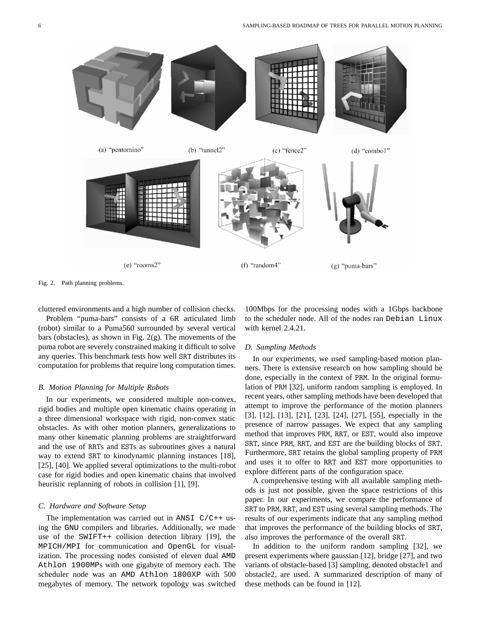

Fig. 2. Path planning problems.

cluttered environments and a high number of collision checks. Problem "puma-bars" consists of a 6R articulated limb (robot) similar to a Puma560 surrounded by several vertical bars (obstacles), as shown in Fig. 2(g). The movements of the puma robot are severely constrained making it difficult to solve any queries. This benchmark tests how well SRT distributes its

computation for problems that require long computation times.

## *B. Motion Planning for Multiple Robots*

In our experiments, we considered multiple non-convex, rigid bodies and multiple open kinematic chains operating in a three dimensional workspace with rigid, non-convex static obstacles. As with other motion planners, generalizations to many other kinematic planning problems are straightforward and the use of RRTs and ESTs as subroutines gives a natural way to extend SRT to kinodynamic planning instances [18], [25], [40]. We applied several optimizations to the multi-robot case for rigid bodies and open kinematic chains that involved heuristic replanning of robots in collision [1], [9].

# *C. Hardware and Software Setup*

The implementation was carried out in ANSI  $C/C++$  using the GNU compilers and libraries. Additionally, we made use of the SWIFT++ collision detection library [19], the MPICH/MPI for communication and OpenGL for visualization. The processing nodes consisted of eleven dual AMD Athlon 1900MPs with one gigabyte of memory each. The scheduler node was an AMD Athlon 1800XP with 500 megabytes of memory. The network topology was switched 100Mbps for the processing nodes with a 1Gbps backbone to the scheduler node. All of the nodes ran Debian Linux with kernel 2.4.21.

#### *D. Sampling Methods*

In our experiments, we used sampling-based motion planners. There is extensive research on how sampling should be done, especially in the context of PRM. In the original formulation of PRM [32], uniform random sampling is employed. In recent years, other sampling methods have been developed that attempt to improve the performance of the motion planners [3], [12], [13], [21], [23], [24], [27], [55], especially in the presence of narrow passages. We expect that any sampling method that improves PRM, RRT, or EST, would also improve SRT, since PRM, RRT, and EST are the building blocks of SRT. Furthermore, SRT retains the global sampling property of PRM and uses it to offer to RRT and EST more opportunities to explore different parts of the configuration space.

A comprehensive testing with all available sampling methods is just not possible, given the space restrictions of this paper. In our experiments, we compare the performance of SRT to PRM, RRT, and EST using several sampling methods. The results of our experiments indicate that any sampling method that improves the performance of the building blocks of SRT, also improves the performance of the overall SRT.

In addition to the uniform random sampling [32], we present experiments where gaussian [12], bridge [27], and two variants of obstacle-based [3] sampling, denoted obstacle1 and obstacle2, are used. A summarized description of many of these methods can be found in [12].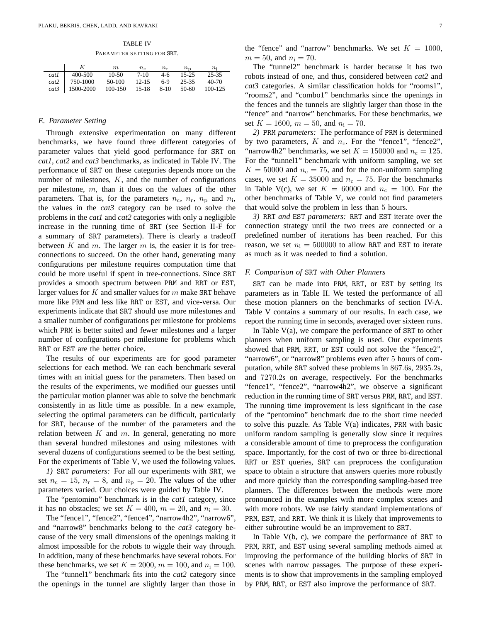TABLE IV PARAMETER SETTING FOR SRT.

| K                                                                                                                                                                                                                                                 | $m$ $n_c$ $n_r$ $n_p$ $n_i$ |  |       |
|---------------------------------------------------------------------------------------------------------------------------------------------------------------------------------------------------------------------------------------------------|-----------------------------|--|-------|
| $cat1$ 400-500                                                                                                                                                                                                                                    | 10-50 7-10 4-6 15-25        |  | 25-35 |
|                                                                                                                                                                                                                                                   |                             |  |       |
| $\begin{array}{c cccccccc} ca12 & 750\text{-}1000 & 50\text{-}100 & 12\text{-}15 & 6\text{-}9 & 25\text{-}35 & 40\text{-}70 \\ ca13 & 1500\text{-}2000 & 100\text{-}150 & 15\text{-}18 & 8\text{-}10 & 50\text{-}60 & 100\text{-}125 \end{array}$ |                             |  |       |

## *E. Parameter Setting*

Through extensive experimentation on many different benchmarks, we have found three different categories of parameter values that yield good performance for SRT on *cat1*, *cat2* and *cat3* benchmarks, as indicated in Table IV. The performance of SRT on these categories depends more on the number of milestones,  $K$ , and the number of configurations per milestone,  $m$ , than it does on the values of the other parameters. That is, for the parameters  $n_c$ ,  $n_r$ ,  $n_p$  and  $n_i$ , the values in the *cat3* category can be used to solve the problems in the *cat1* and *cat2* categories with only a negligible increase in the running time of SRT (see Section II-F for a summary of SRT parameters). There is clearly a tradeoff between  $K$  and  $m$ . The larger  $m$  is, the easier it is for treeconnections to succeed. On the other hand, generating many configurations per milestone requires computation time that could be more useful if spent in tree-connections. Since SRT provides a smooth spectrum between PRM and RRT or EST, larger values for  $K$  and smaller values for  $m$  make SRT behave more like PRM and less like RRT or EST, and vice-versa. Our experiments indicate that SRT should use more milestones and a smaller number of configurations per milestone for problems which PRM is better suited and fewer milestones and a larger number of configurations per milestone for problems which RRT or EST are the better choice.

The results of our experiments are for good parameter selections for each method. We ran each benchmark several times with an initial guess for the parameters. Then based on the results of the experiments, we modified our guesses until the particular motion planner was able to solve the benchmark consistently in as little time as possible. In a new example, selecting the optimal parameters can be difficult, particularly for SRT, because of the number of the parameters and the relation between  $K$  and  $m$ . In general, generating no more than several hundred milestones and using milestones with several dozens of configurations seemed to be the best setting. For the experiments of Table V, we used the following values.

*1)* SRT *parameters:* For all our experiments with SRT, we set  $n_c = 15$ ,  $n_r = 8$ , and  $n_p = 20$ . The values of the other parameters varied. Our choices were guided by Table IV.

The "pentomino" benchmark is in the *cat1* category, since it has no obstacles; we set  $K = 400$ ,  $m = 20$ , and  $n_i = 30$ .

The "fence1", "fence2", "fence4", "narrow4h2", "narrow6", and "narrow8" benchmarks belong to the *cat3* category because of the very small dimensions of the openings making it almost impossible for the robots to wiggle their way through. In addition, many of these benchmarks have several robots. For these benchmarks, we set  $K = 2000$ ,  $m = 100$ , and  $n_i = 100$ .

The "tunnel1" benchmark fits into the *cat2* category since the openings in the tunnel are slightly larger than those in the "fence" and "narrow" benchmarks. We set  $K = 1000$ ,  $m = 50$ , and  $n_i = 70$ .

The "tunnel2" benchmark is harder because it has two robots instead of one, and thus, considered between *cat2* and *cat3* categories. A similar classification holds for "rooms1", "rooms2", and "combo1" benchmarks since the openings in the fences and the tunnels are slightly larger than those in the "fence" and "narrow" benchmarks. For these benchmarks, we set  $K = 1600$ ,  $m = 50$ , and  $n_i = 70$ .

*2)* PRM *parameters:* The performance of PRM is determined by two parameters,  $K$  and  $n_c$ . For the "fence1", "fence2", "narrow4h2" benchmarks, we set  $K = 150000$  and  $n_c = 125$ . For the "tunnel1" benchmark with uniform sampling, we set  $K = 50000$  and  $n_c = 75$ , and for the non-uniform sampling cases, we set  $K = 35000$  and  $n_c = 75$ . For the benchmarks in Table V(c), we set  $K = 60000$  and  $n_c = 100$ . For the other benchmarks of Table V, we could not find parameters that would solve the problem in less than 5 hours.

*3)* RRT *and* EST *parameters:* RRT and EST iterate over the connection strategy until the two trees are connected or a predefined number of iterations has been reached. For this reason, we set  $n_i = 500000$  to allow RRT and EST to iterate as much as it was needed to find a solution.

# *F. Comparison of* SRT *with Other Planners*

SRT can be made into PRM, RRT, or EST by setting its parameters as in Table II. We tested the performance of all these motion planners on the benchmarks of section IV-A. Table V contains a summary of our results. In each case, we report the running time in seconds, averaged over sixteen runs.

In Table  $V(a)$ , we compare the performance of SRT to other planners when uniform sampling is used. Our experiments showed that PRM, RRT, or EST could not solve the "fence2", "narrow6", or "narrow8" problems even after 5 hours of computation, while SRT solved these problems in 867.6s, 2935.2s, and 7270.2s on average, respectively. For the benchmarks "fence1", "fence2", "narrow4h2", we observe a significant reduction in the running time of SRT versus PRM, RRT, and EST. The running time improvement is less significant in the case of the "pentomino" benchmark due to the short time needed to solve this puzzle. As Table V(a) indicates, PRM with basic uniform random sampling is generally slow since it requires a considerable amount of time to preprocess the configuration space. Importantly, for the cost of two or three bi-directional RRT or EST queries, SRT can preprocess the configuration space to obtain a structure that answers queries more robustly and more quickly than the corresponding sampling-based tree planners. The differences between the methods were more pronounced in the examples with more complex scenes and with more robots. We use fairly standard implementations of PRM, EST, and RRT. We think it is likely that improvements to either subroutine would be an improvement to SRT.

In Table V(b, c), we compare the performance of SRT to PRM, RRT, and EST using several sampling methods aimed at improving the performance of the building blocks of SRT in scenes with narrow passages. The purpose of these experiments is to show that improvements in the sampling employed by PRM, RRT, or EST also improve the performance of SRT.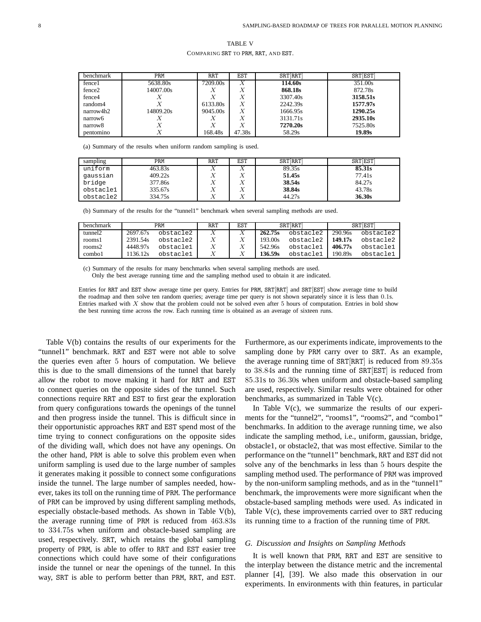# TABLE V COMPARING SRT TO PRM, RRT, AND EST.

| benchmark           | <b>PRM</b> | RRT      | EST    | SRT RRT  | SRT EST  |
|---------------------|------------|----------|--------|----------|----------|
| fence1              | 5638.80s   | 7209.00s | Х      | 114.60s  | 351.00s  |
| fence <sub>2</sub>  | 14007.00s  |          | Х      | 868.18s  | 872.78s  |
| fence4              |            | Х        | Х      | 3307.40s | 3158.51s |
| random4             |            | 6133.80s | Χ      | 2242.39s | 1577.97s |
| narrow4h2           | 14809.20s  | 9045.00s | Х      | 1666.95s | 1290.25s |
| narrow6             |            |          | Х      | 3131.71s | 2935.10s |
| narrow <sub>8</sub> |            |          | Х      | 7270.20s | 7525.80s |
| pentomino           |            | 168.48s  | 47.38s | 58.29s   | 19.89s   |

(a) Summary of the results when uniform random sampling is used.

| sampling  | PRM     | RRT       | EST             | SRT RRT | SRT EST |
|-----------|---------|-----------|-----------------|---------|---------|
| uniform   | 463.83s |           | л               | 89.35s  | 85.31s  |
| qaussian  | 409.22s | $\Lambda$ | xz<br>л         | 51.45s  | 77.41s  |
| bridge    | 377.86s | л         | xz<br>л         | 38.54s  | 84.27s  |
| obstacle1 | 335.67s | л         | xz<br>Λ         | 38.84s  | 43.78s  |
| obstacle2 | 334.75s |           | xz<br>$\Lambda$ | 44.27s  | 36.30s  |

(b) Summary of the results for the "tunnel1" benchmark when several sampling methods are used.

| benchmark           | PR.M     |           |  |   |                      |           |         |           |  |  |  |  |  |  |  |  |  |  | RRT | EST |  | <b>SRT RRT</b> |  | SRT EST |
|---------------------|----------|-----------|--|---|----------------------|-----------|---------|-----------|--|--|--|--|--|--|--|--|--|--|-----|-----|--|----------------|--|---------|
| tunnel <sub>2</sub> | 2697.67s | obstacle2 |  |   | 262.75s<br>obstacle2 |           | 290.96s | obstacle2 |  |  |  |  |  |  |  |  |  |  |     |     |  |                |  |         |
| rooms1              | 2391.54s | obstacle2 |  | Х | 193.00s              | obstacle2 | 149.17s | obstacle2 |  |  |  |  |  |  |  |  |  |  |     |     |  |                |  |         |
| rooms2              | 4448.97s | obstacle1 |  |   | 542.96s              | obstaclel | 406.77s | obstacle1 |  |  |  |  |  |  |  |  |  |  |     |     |  |                |  |         |
| combo1              | 36.12s   | obstacle1 |  |   | <sup>1</sup> 36.59s  | obstacle1 | 190.89s | obstacle1 |  |  |  |  |  |  |  |  |  |  |     |     |  |                |  |         |

(c) Summary of the results for many benchmarks when several sampling methods are used.

Only the best average running time and the sampling method used to obtain it are indicated.

Entries for RRT and EST show average time per query. Entries for PRM, SRT[RRT] and SRT[EST] show average time to build the roadmap and then solve ten random queries; average time per query is not shown separately since it is less than 0.1s. Entries marked with X show that the problem could not be solved even after 5 hours of computation. Entries in bold show the best running time across the row. Each running time is obtained as an average of sixteen runs.

Table V(b) contains the results of our experiments for the "tunnel1" benchmark. RRT and EST were not able to solve the queries even after 5 hours of computation. We believe this is due to the small dimensions of the tunnel that barely allow the robot to move making it hard for RRT and EST to connect queries on the opposite sides of the tunnel. Such connections require RRT and EST to first gear the exploration from query configurations towards the openings of the tunnel and then progress inside the tunnel. This is difficult since in their opportunistic approaches RRT and EST spend most of the time trying to connect configurations on the opposite sides of the dividing wall, which does not have any openings. On the other hand, PRM is able to solve this problem even when uniform sampling is used due to the large number of samples it generates making it possible to connect some configurations inside the tunnel. The large number of samples needed, however, takes its toll on the running time of PRM. The performance of PRM can be improved by using different sampling methods, especially obstacle-based methods. As shown in Table V(b), the average running time of PRM is reduced from 463.83s to 334.75s when uniform and obstacle-based sampling are used, respectively. SRT, which retains the global sampling property of PRM, is able to offer to RRT and EST easier tree connections which could have some of their configurations inside the tunnel or near the openings of the tunnel. In this way, SRT is able to perform better than PRM, RRT, and EST.

Furthermore, as our experiments indicate, improvements to the sampling done by PRM carry over to SRT. As an example, the average running time of SRT[RRT] is reduced from 89.35s to 38.84s and the running time of SRT[EST] is reduced from 85.31s to 36.30s when uniform and obstacle-based sampling are used, respectively. Similar results were obtained for other benchmarks, as summarized in Table V(c).

In Table  $V(c)$ , we summarize the results of our experiments for the "tunnel2", "rooms1", "rooms2", and "combo1" benchmarks. In addition to the average running time, we also indicate the sampling method, i.e., uniform, gaussian, bridge, obstacle1, or obstacle2, that was most effective. Similar to the performance on the "tunnel1" benchmark, RRT and EST did not solve any of the benchmarks in less than 5 hours despite the sampling method used. The performance of PRM was improved by the non-uniform sampling methods, and as in the "tunnel1" benchmark, the improvements were more significant when the obstacle-based sampling methods were used. As indicated in Table V(c), these improvements carried over to SRT reducing its running time to a fraction of the running time of PRM.

## *G. Discussion and Insights on Sampling Methods*

It is well known that PRM, RRT and EST are sensitive to the interplay between the distance metric and the incremental planner [4], [39]. We also made this observation in our experiments. In environments with thin features, in particular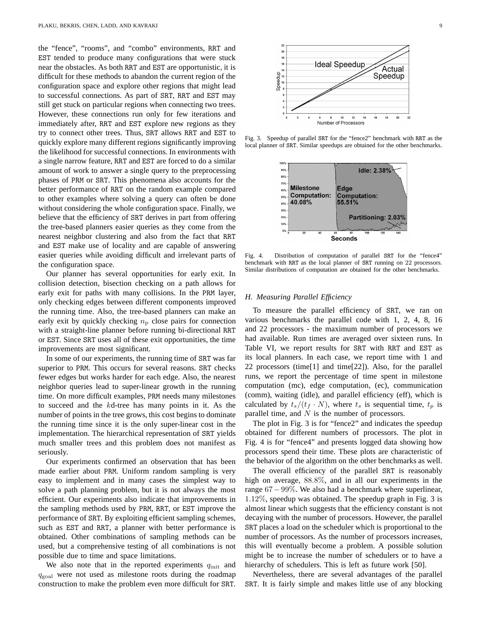the "fence", "rooms", and "combo" environments, RRT and EST tended to produce many configurations that were stuck near the obstacles. As both RRT and EST are opportunistic, it is difficult for these methods to abandon the current region of the configuration space and explore other regions that might lead to successful connections. As part of SRT, RRT and EST may still get stuck on particular regions when connecting two trees. However, these connections run only for few iterations and immediately after, RRT and EST explore new regions as they try to connect other trees. Thus, SRT allows RRT and EST to quickly explore many different regions significantly improving the likelihood for successful connections. In environments with a single narrow feature, RRT and EST are forced to do a similar amount of work to answer a single query to the preprocessing phases of PRM or SRT. This phenomena also accounts for the better performance of RRT on the random example compared to other examples where solving a query can often be done without considering the whole configuration space. Finally, we believe that the efficiency of SRT derives in part from offering the tree-based planners easier queries as they come from the nearest neighbor clustering and also from the fact that RRT and EST make use of locality and are capable of answering easier queries while avoiding difficult and irrelevant parts of the configuration space.

Our planner has several opportunities for early exit. In collision detection, bisection checking on a path allows for early exit for paths with many collisions. In the PRM layer, only checking edges between different components improved the running time. Also, the tree-based planners can make an early exit by quickly checking  $n<sub>p</sub>$  close pairs for connection with a straight-line planner before running bi-directional RRT or EST. Since SRT uses all of these exit opportunities, the time improvements are most significant.

In some of our experiments, the running time of SRT was far superior to PRM. This occurs for several reasons. SRT checks fewer edges but works harder for each edge. Also, the nearest neighbor queries lead to super-linear growth in the running time. On more difficult examples, PRM needs many milestones to succeed and the kd-tree has many points in it. As the number of points in the tree grows, this cost begins to dominate the running time since it is the only super-linear cost in the implementation. The hierarchical representation of SRT yields much smaller trees and this problem does not manifest as seriously.

Our experiments confirmed an observation that has been made earlier about PRM. Uniform random sampling is very easy to implement and in many cases the simplest way to solve a path planning problem, but it is not always the most efficient. Our experiments also indicate that improvements in the sampling methods used by PRM, RRT, or EST improve the performance of SRT. By exploiting efficient sampling schemes, such as EST and RRT, a planner with better performance is obtained. Other combinations of sampling methods can be used, but a comprehensive testing of all combinations is not possible due to time and space limitations.

We also note that in the reported experiments  $q_{\text{init}}$  and  $q_{\text{goal}}$  were not used as milestone roots during the roadmap construction to make the problem even more difficult for SRT.



Fig. 3. Speedup of parallel SRT for the "fence2" benchmark with RRT as the local planner of SRT. Similar speedups are obtained for the other benchmarks.



Fig. 4. Distribution of computation of parallel SRT for the "fence4" benchmark with RRT as the local planner of SRT running on 22 processors. Similar distributions of computation are obtained for the other benchmarks.

## *H. Measuring Parallel Efficiency*

To measure the parallel efficiency of SRT, we ran on various benchmarks the parallel code with 1, 2, 4, 8, 16 and 22 processors - the maximum number of processors we had available. Run times are averaged over sixteen runs. In Table VI, we report results for SRT with RRT and EST as its local planners. In each case, we report time with 1 and 22 processors (time[1] and time[22]). Also, for the parallel runs, we report the percentage of time spent in milestone computation (mc), edge computation, (ec), communication (comm), waiting (idle), and parallel efficiency (eff), which is calculated by  $t_s/(t_f \cdot N)$ , where  $t_s$  is sequential time,  $t_p$  is parallel time, and  $N$  is the number of processors.

The plot in Fig. 3 is for "fence2" and indicates the speedup obtained for different numbers of processors. The plot in Fig. 4 is for "fence4" and presents logged data showing how processors spend their time. These plots are characteristic of the behavior of the algorithm on the other benchmarks as well.

The overall efficiency of the parallel SRT is reasonably high on average, 88.8%, and in all our experiments in the range 67−99%. We also had a benchmark where superlinear, 1.12%, speedup was obtained. The speedup graph in Fig. 3 is almost linear which suggests that the efficiency constant is not decaying with the number of processors. However, the parallel SRT places a load on the scheduler which is proportional to the number of processors. As the number of processors increases, this will eventually become a problem. A possible solution might be to increase the number of schedulers or to have a hierarchy of schedulers. This is left as future work [50].

Nevertheless, there are several advantages of the parallel SRT. It is fairly simple and makes little use of any blocking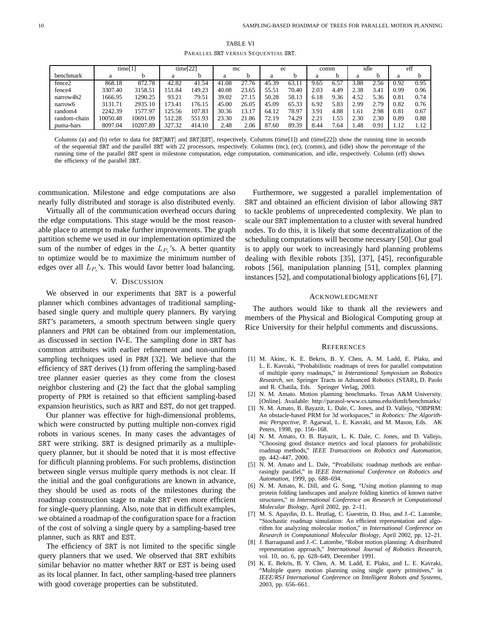| <b>TABLE VI</b>                     |
|-------------------------------------|
| PARALLEL SRT VERSUS SEQUENTIAL SRT. |

|                    | time[1]  |          | time[22] |        | mc    |       | ec        |       | comm |      | idle         |               | efi  |      |
|--------------------|----------|----------|----------|--------|-------|-------|-----------|-------|------|------|--------------|---------------|------|------|
| benchmark          | а        |          | a        |        |       |       | a         |       | a    |      | a            | b             | a    |      |
| fence <sub>2</sub> | 868.18   | 872.78   | 42.82    | 41.54  | 41.08 | 27.76 | 45.39     | 63.1  | 9.65 | 6.57 | 3.88         | $\angle .56$  | 0.92 | 0.95 |
| fence4             | 3307.40  | 3158.51  | 151.84   | 149.23 | 40.08 | 23.65 | 55.51     | 70.40 | 2.03 | 4.49 | 2.38         | $3.4^{\circ}$ | 0.99 | 0.96 |
| narrow4h2          | 1666.95  | 1290.25  | 93.21    | 79.51  | 39.02 | 27.15 | 50.28     | 58.13 | 6.18 | 9.36 | 4.52         | 5.36          | 0.81 | 0.74 |
| narrow6            | 3131.71  | 2935.10  | 173.41   | 176.15 | 45.00 | 26.05 | 45.09     | 65.33 | 6.92 | 5.83 | 2.99         | 2.79          | 0.82 | 0.76 |
| random4            | 2242.39  | 1577.97  | 125.56   | 107.83 | 30.36 | 13.17 | 64.12     | 78.97 | 3.91 | 4.88 | $.6^{\circ}$ | 2.98          | 0.81 | 0.67 |
| random-chain       | 10050.48 | 10691.09 | 512.28   | 551.93 | 23.30 | 21.86 | 72.19     | 74.29 | 2.21 | . 55 | 2.30         | 2.30          | 0.89 | 0.88 |
| puma-bars          | 8097.04  | 10207.89 | 327.32   | 414.10 | 2.48  | 2.06  | 87<br>.60 | 89.39 | 8.44 | .64  | .48          | 0.91          | .12  | 1.12 |

Columns (a) and (b) refer to data for SRT[RRT] and SRT[EST], respectively. Columns (time[1]) and (time[22]) show the running time in seconds of the sequential SRT and the parallel SRT with 22 processors, respectively. Columns (mc), (ec), (comm), and (idle) show the percentage of the running time of the parallel SRT spent in milestone computation, edge computation, communication, and idle, respectively. Column (eff) shows the efficiency of the parallel SRT.

communication. Milestone and edge computations are also nearly fully distributed and storage is also distributed evenly.

Virtually all of the communication overhead occurs during the edge computations. This stage would be the most reasonable place to attempt to make further improvements. The graph partition scheme we used in our implementation optimized the sum of the number of edges in the  $L_{P_i}$ 's. A better quantity to optimize would be to maximize the minimum number of edges over all  $L_{P_i}$ 's. This would favor better load balancing.

#### V. DISCUSSION

We observed in our experiments that SRT is a powerful planner which combines advantages of traditional samplingbased single query and multiple query planners. By varying SRT's parameters, a smooth spectrum between single query planners and PRM can be obtained from our implementation, as discussed in section IV-E. The sampling done in SRT has common attributes with earlier refinement and non-uniform sampling techniques used in PRM [32]. We believe that the efficiency of SRT derives (1) from offering the sampling-based tree planner easier queries as they come from the closest neighbor clustering and (2) the fact that the global sampling property of PRM is retained so that efficient sampling-based expansion heuristics, such as RRT and EST, do not get trapped.

Our planner was effective for high-dimensional problems, which were constructed by putting multiple non-convex rigid robots in various scenes. In many cases the advantages of SRT were striking. SRT is designed primarily as a multiplequery planner, but it should be noted that it is most effective for difficult planning problems. For such problems, distinction between single versus multiple query methods is not clear. If the initial and the goal configurations are known in advance, they should be used as roots of the milestones during the roadmap construction stage to make SRT even more efficient for single-query planning. Also, note that in difficult examples, we obtained a roadmap of the configuration space for a fraction of the cost of solving a single query by a sampling-based tree planner, such as RRT and EST.

The efficiency of SRT is not limited to the specific single query planners that we used. We observed that SRT exhibits similar behavior no matter whether RRT or EST is being used as its local planner. In fact, other sampling-based tree planners with good coverage properties can be substituted.

Furthermore, we suggested a parallel implementation of SRT and obtained an efficient division of labor allowing SRT to tackle problems of unprecedented complexity. We plan to scale our SRT implementation to a cluster with several hundred nodes. To do this, it is likely that some decentralization of the scheduling computations will become necessary [50]. Our goal is to apply our work to increasingly hard planning problems dealing with flexible robots [35], [37], [45], reconfigurable robots [56], manipulation planning [51], complex planning instances [52], and computational biology applications [6], [7].

## ACKNOWLEDGMENT

The authors would like to thank all the reviewers and members of the Physical and Biological Computing group at Rice University for their helpful comments and discussions.

#### **REFERENCES**

- [1] M. Akinc, K. E. Bekris, B. Y. Chen, A. M. Ladd, E. Plaku, and L. E. Kavraki, "Probabilistic roadmaps of trees for parallel computation of multiple query roadmaps," in *Interantional Symposium on Robotics Research*, ser. Springer Tracts in Advanced Robotics (STAR), D. Paolo and R. Chatila, Eds. Springer Verlag, 2003.
- [2] N. M. Amato. Motion planning benchmarks. Texas A&M University. [Online]. Available: http://parasol-www.cs.tamu.edu/dsmft/benchmarks/
- [3] N. M. Amato, B. Bayazit, L. Dale, C. Jones, and D. Vallejo, "OBPRM: An obstacle-based PRM for 3d workspaces," in *Robotics: The Algorithmic Perspective*, P. Agarwal, L. E. Kavraki, and M. Mason, Eds. AK Peters, 1998, pp. 156–168.
- [4] N. M. Amato, O. B. Bayazit, L. K. Dale, C. Jones, and D. Vallejo, "Choosing good distance metrics and local planners for probabilistic roadmap methods," *IEEE Transactions on Robotics and Automation*, pp. 442–447, 2000.
- [5] N. M. Amato and L. Dale, "Proabilistic roadmap methods are embarrasingly parallel," in *IEEE International Conference on Robotics and Automation*, 1999, pp. 688–694.
- [6] N. M. Amato, K. Dill, and G. Song, "Using motion planning to map protein folding landscapes and analyze folding kinetics of known native structures," in *International Conference on Research in Computational Molecular Biology*, April 2002, pp. 2–11.
- [7] M. S. Apaydin, D. L. Brutlag, C. Guestrin, D. Hsu, and J.-C. Latombe, "Stochastic roadmap simulation: An efficient representation and algorithm for analyzing molecular motion," in *International Conference on Research in Computational Molecular Biology*, April 2002, pp. 12–21.
- [8] J. Barraquand and J.-C. Latombe, "Robot motion planning: A distributed representation approach," *International Journal of Robotics Research*, vol. 10, no. 6, pp. 628–649, December 1991.
- [9] K. E. Bekris, B. Y. Chen, A. M. Ladd, E. Plaku, and L. E. Kavraki, "Multiple query motion planning using single query primitives," in *IEEE/RSJ International Conference on Intelligent Robots and Systems*, 2003, pp. 656–661.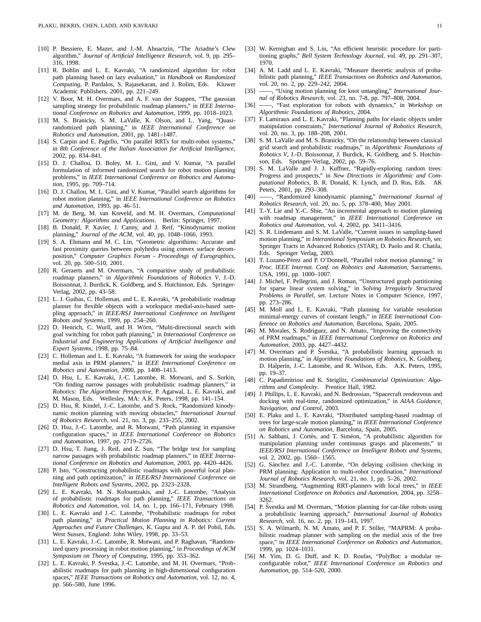- [10] P. Bessiere, E. Mazer, and J.-M. Ahuactzin, "The Ariadne's Clew algorithm," *Journal of Artificial Intelligence Research*, vol. 9, pp. 295– 316, 1998.
- [11] R. Bohlin and L. E. Kavraki, "A randomized algorithm for robot path planning based on lazy evaluation," in *Handbook on Randomized Computing*, P. Pardalos, S. Rajasekaran, and J. Rolim, Eds. Kluwer Academic Publishers, 2001, pp. 221–249.
- [12] V. Boor, M. H. Overmars, and A. F. van der Stappen, "The gaussian sampling strategy for probabilistic roadmap planners," in *IEEE International Conference on Robotics and Automation*, 1999, pp. 1018–1023.
- [13] M. S. Branicky, S. M. LaValle, K. Olson, and L. Yang, "Quasirandomized path planning," in *IEEE International Conference on Robotics and Automation*, 2001, pp. 1481–1487.
- [14] S. Carpin and E. Pagello, "On parallel RRTs for multi-robot systems," in *8th Conference of the Italian Association for Artificial Intelligence*, 2002, pp. 834–841.
- [15] D. J. Challou, D. Boley, M. L. Gini, and V. Kumar, "A parallel formulation of informed randomized search for robot motion planning problems," in *IEEE International Conference on Robotics and Automation*, 1995, pp. 709–714.
- [16] D. J. Challou, M. L. Gini, and V. Kumar, "Parallel search algorithms for robot motion planning," in *IEEE International Conference on Robotics and Automation*, 1993, pp. 46–51.
- [17] M. de Berg, M. van Kreveld, and M. H. Overmars, *Computational Geometry: Algorithms and Applications*. Berlin: Springer, 1997.
- [18] B. Donald, P. Xavier, J. Canny, and J. Reif, "Kinodynamic motion planning," *Journal of the ACM*, vol. 40, pp. 1048–1066, 1993.
- [19] S. A. Ehmann and M. C. Lin, "Geometric algorithims: Accurate and fast proximity queries between polyhedra using convex surface decomposition," *Computer Graphics Forum - Proceedings of Eurographics*, vol. 20, pp. 500–510, 2001.
- [20] R. Geraerts and M. Overmars, "A comparitive study of probabilistic roadmap planners," in *Algorithmic Foundations of Robotics V*, J.-D. Boissonnat, J. Burdick, K. Goldberg, and S. Hutchinson, Eds. Springer-Verlag, 2002, pp. 43–58.
- [21] L. J. Guibas, C. Holleman, and L. E. Kavraki, "A probabilistic roadmap planner for flexible objects with a workspace medial-axis-based sampling approach," in *IEEE/RSJ International Conference on Intelligent Robots and Systems*, 1999, pp. 254–260.
- [22] D. Henrich, C. Wurll, and H. Wörn, "Multi-directional search with goal switching for robot path planning," in *International Conference on Industrial and Engineering Applications of Artificial Intelligence and Expert Systems*, 1998, pp. 75–84.
- [23] C. Holleman and L. E. Kavraki, "A framework for using the workspace medial axis in PRM planners," in *IEEE International Conference on Robotics and Automation*, 2000, pp. 1408–1413.
- [24] D. Hsu, L. E. Kavraki, J.-C. Latombe, R. Motwani, and S. Sorkin, "On finding narrow passages with probabilistic roadmap planners," in *Robotics: The Algorithmic Perspective*, P. Agarwal, L. E. Kavraki, and M. Mason, Eds. Wellesley, MA: A.K. Peters, 1998, pp. 141–154.
- [25] D. Hsu, R. Kindel, J.-C. Latombe, and S. Rock, "Randomized kinodynamic motion planning with moving obstacles," *International Journal of Robotics Research*, vol. 21, no. 3, pp. 233–255, 2002.
- [26] D. Hsu, J.-C. Latombe, and R. Motwani, "Path planning in expansive configuration spaces," in *IEEE International Conference on Robotics and Automation*, 1997, pp. 2719–2726.
- [27] D. Hsu, T. Jiang, J. Reif, and Z. Sun, "The bridge test for sampling narrow passages with probabilistic roadmap planners," in *IEEE International Conference on Robotics and Automation*, 2003, pp. 4420–4426.
- [28] P. Isto, "Constructing probabilistic roadmaps with powerful local planning and path optimization," in *IEEE/RSJ International Conference on Intelligent Robots and Systems*, 2002, pp. 2323–2328.
- [29] L. E. Kavraki, M. N. Kolountzakis, and J.-C. Latombe, "Analysis of probabilistic roadmaps for path planning," *IEEE Transactions on Robotics and Automation*, vol. 14, no. 1, pp. 166–171, February 1998.
- [30] L. E. Kavraki and J.-C. Latombe, "Probabilistic roadmaps for robot path planning," in *Practical Motion Planning in Robotics: Current Approaches and Future Challenges*, K. Gupta and A. P. del Pobil, Eds. West Sussex, England: John Wiley, 1998, pp. 33–53.
- [31] L. E. Kavraki, J.-C. Latombe, R. Motwani, and P. Raghavan, "Randomized query processing in robot motion planning," in *Proceedings of ACM Symposium on Theory of Computing*, 1995, pp. 353–362.
- [32] L. E. Kavraki, P. Svestka, J.-C. Latombe, and M. H. Overmars, "Probabilistic roadmaps for path planning in high-dimensional configuration spaces," *IEEE Transactions on Robotics and Automation*, vol. 12, no. 4, pp. 566–580, June 1996.
- [33] W. Kernighan and S. Lin, "An efficient heuristic procedure for partitioning graphs," *Bell System Technology Journal*, vol. 49, pp. 291–307, 1970.
- [34] A. M. Ladd and L. E. Kavraki, "Measure theoretic analysis of probabilistic path planning," *IEEE Transactions on Robotics and Automation*, vol. 20, no. 2, pp. 229–242, 2004.
- [35] ——, "Using motion planning for knot untangling," *International Journal of Robotics Research*, vol. 23, no. 7-8, pp. 797–808, 2004.
- [36] ——, "Fast exploration for robots with dynamics," in *Workshop on Algorithmic Foundations of Robotics*, 2004.
- [37] F. Lamiraux and L. E. Kavraki, "Planning paths for elastic objects under manipulation constraints," *International Journal of Robotics Research*, vol. 20, no. 3, pp. 188–208, 2001.
- [38] S. M. LaValle and M. S. Branicky, "On the relationship between classical grid search and probabilistic roadmaps," in *Algorithmic Foundations of Robotics V*, J.-D. Boissonnat, J. Burdick, K. Goldberg, and S. Hutchinson, Eds. Springer-Verlag, 2002, pp. 59–76.
- [39] S. M. LaValle and J. J. Kuffner, "Rapidly-exploring random trees: Progress and prospects," in *New Directions in Algorithmic and Computational Robotics*, B. R. Donald, K. Lynch, and D. Rus, Eds. AK Peters, 2001, pp. 293–308.
- [40] ——, "Randomized kinodynamic planning," *International Journal of Robotics Research*, vol. 20, no. 5, pp. 378–400, May 2001.
- [41] T.-Y. Lie and Y.-C. Shie, "An incremental approach to motion planning with roadmap management," in *IEEE International Conference on Robotics and Automation*, vol. 4, 2002, pp. 3411–3416.
- [42] S. R. Lindemann and S. M. LaValle, "Current issues in sampling-based motion planning," in *Interantional Symposium on Robotics Research*, ser. Springer Tracts in Advanced Robotics (STAR), D. Paolo and R. Chatila, Eds. Springer Verlag, 2003.
- [43] T. Lozano-Pérez and P. O'Donnell, "Parallel robot motion planning," in *Proc. IEEE Internat. Conf. on Robotics and Automation*, Sacramento, USA, 1991, pp. 1000–1007.
- [44] J. Michel, F. Pellegrini, and J. Roman, "Unstructured graph partitioning for sparse linear system solving," in *Solving Irregularly Structured Problems in Parallel*, ser. Lecture Notes in Computer Science, 1997, pp. 273–286.
- [45] M. Moll and L. E. Kavraki, "Path planning for variable resolution minimal-energy curves of constant length," in *IEEE International Conference on Robotics and Automation*, Barcelona, Spain, 2005.
- [46] M. Morales, S. Rodriguez, and N. Amato, "Improving the connectivity of PRM roadmaps," in *IEEE International Conference on Robotics and Automation*, 2003, pp. 4427–4432.
- [47] M. Overmars and P. Švestka, "A probabilistic learning approach to motion planning," in *Algorithmic Foundations of Robotics*, K. Goldberg, D. Halperin, J.-C. Latombe, and R. Wilson, Eds. A.K. Peters, 1995, pp. 19–37.
- [48] C. Papadimitriou and K. Steiglitz, *Combinatorial Optimization: Algorithms and Complexity*. Prentice Hall, 1982.
- [49] J. Phillips, L. E. Kavraki, and N. Bedrossian, "Spacecraft rendezvous and docking with real-time, randomized optimization," in *AIAA Guidance, Navigation, and Control*, 2003.
- [50] E. Plaku and L. E. Kavraki, "Distributed sampling-based roadmap of trees for large-scale motion planning," in *IEEE International Conference on Robotics and Automation*, Barcelona, Spain, 2005.
- [51] A. Sahbani, J. Cortés, and T. Siméon, "A probabilistic algorithm for manipulation planning under continuous grasps and placements," in *IEEE/RSJ International Conference on Intelligent Robots and Systems*, vol. 2, 2002, pp. 1560– 1565.
- [52] G. Sánchez and J.-C. Latombe, "On delaying collision checking in PRM planning: Application to multi-robot coordination," *International Journal of Robotics Research*, vol. 21, no. 1, pp. 5–26, 2002.
- [53] M. Strandberg, "Augmenting RRT-planners with local trees," in *IEEE International Conference on Robotics and Automation*, 2004, pp. 3258– 3262.
- [54] P. Švestka and M. Overmars, "Motion planning for car-like robots using a probabilistic learning approach," *International Journal of Robotics Research*, vol. 16, no. 2, pp. 119–143, 1997.
- [55] S. A. Wilmarth, N. M. Amato, and P. F. Stiller, "MAPRM: A probabilistic roadmap planner with sampling on the medial axis of the free space," in *IEEE International Conference on Robotics and Automation*, 1999, pp. 1024–1031.
- [56] M. Yim, D. G. Duff, and K. D. Roufas, "PolyBot: a modular reconfigurable robot," *IEEE International Conference on Robotics and Automation*, pp. 514–520, 2000.